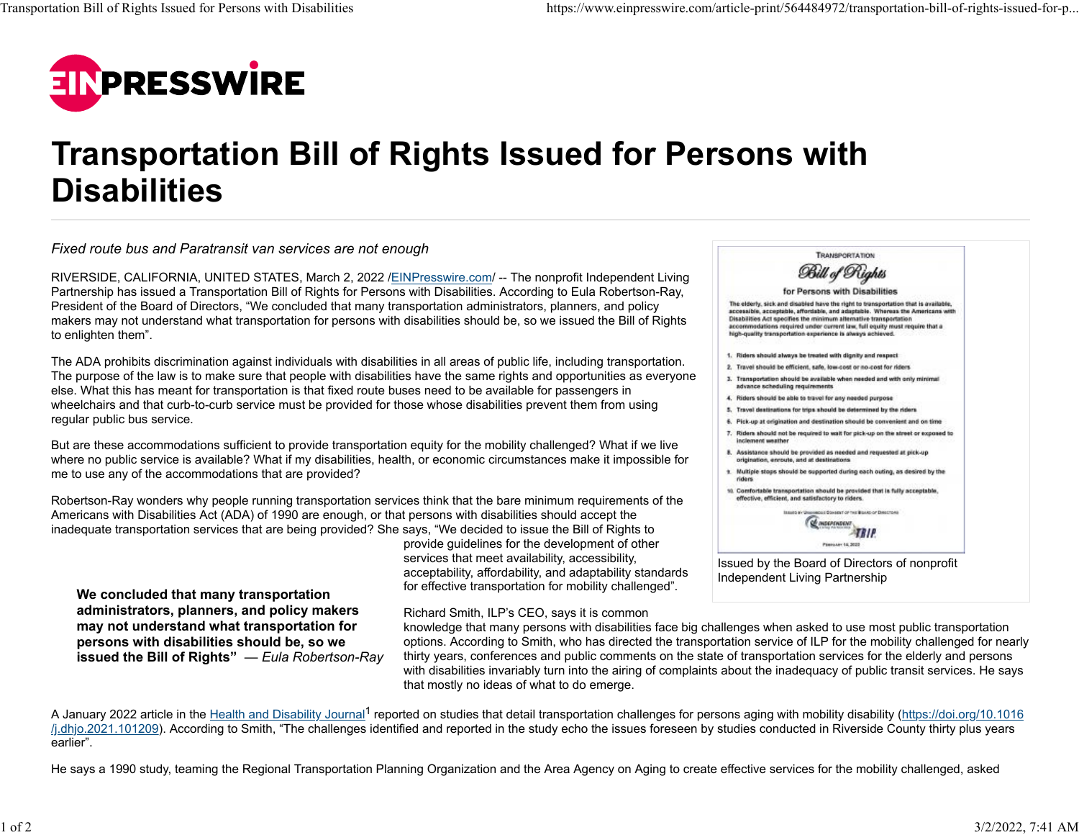

## **Transportation Bill of Rights Issued for Persons with Disabilities**

*Fixed route bus and Paratransit van services are not enough*

**We concluded that many transportation administrators, planners, and policy makers may not understand what transportation for persons with disabilities should be, so we**

RIVERSIDE, CALIFORNIA, UNITED STATES, March 2, 2022 /[EINPresswire.com/](http://www.einpresswire.com/) -- The nonprofit Independent Living Partnership has issued a Transportation Bill of Rights for Persons with Disabilities. According to Eula Robertson-Ray, President of the Board of Directors, "We concluded that many transportation administrators, planners, and policy makers may not understand what transportation for persons with disabilities should be, so we issued the Bill of Rights to enlighten them".

The ADA prohibits discrimination against individuals with disabilities in all areas of public life, including transportation. The purpose of the law is to make sure that people with disabilities have the same rights and opportunities as everyone else. What this has meant for transportation is that fixed route buses need to be available for passengers in wheelchairs and that curb-to-curb service must be provided for those whose disabilities prevent them from using regular public bus service.

But are these accommodations sufficient to provide transportation equity for the mobility challenged? What if we live where no public service is available? What if my disabilities, health, or economic circumstances make it impossible for me to use any of the accommodations that are provided?

Robertson-Ray wonders why people running transportation services think that the bare minimum requirements of the Americans with Disabilities Act (ADA) of 1990 are enough, or that persons with disabilities should accept the inadequate transportation services that are being provided? She says, "We decided to issue the Bill of Rights to

> provide guidelines for the development of other services that meet availability, accessibility, acceptability, affordability, and adaptability standards for effective transportation for mobility challenged".

Richard Smith, ILP's CEO, says it is common

| <b>TRANSPORTATION</b>                                                                                                                                                                                                                                                                                                                                                                 |
|---------------------------------------------------------------------------------------------------------------------------------------------------------------------------------------------------------------------------------------------------------------------------------------------------------------------------------------------------------------------------------------|
| Bill of Rights                                                                                                                                                                                                                                                                                                                                                                        |
| for Persons with Disabilities                                                                                                                                                                                                                                                                                                                                                         |
| The elderly, sick and disabled have the right to transportation that is available,<br>accessible, acceptable, affordable, and adaptable. Whereas the Americans with<br>Disabilities Act specifies the minimum alternative transportation.<br>accommodations required under current law, full equity must require that a<br>high-quality transportation experience is always achieved. |
| 1. Riders should always be treated with dignity and respect.                                                                                                                                                                                                                                                                                                                          |
| 2. Travel should be efficient, safe, low-cost or no-cost for riders.                                                                                                                                                                                                                                                                                                                  |
| 3. Transportation should be available when needed and with only minimal<br>advance scheduling requirements                                                                                                                                                                                                                                                                            |
| 4. Riders should be able to travel for any needed purpose                                                                                                                                                                                                                                                                                                                             |
| 5. Travel destinations for trips should be determined by the riders.                                                                                                                                                                                                                                                                                                                  |
| 6. Pick-up at origination and destination should be convenient and on time                                                                                                                                                                                                                                                                                                            |
| 7. Riders should not be required to wait for pick-up on the street or exposed to<br>inclement weather                                                                                                                                                                                                                                                                                 |
| 8. Assistance should be provided as needed and requested at pick-up<br>origination, enroute, and at destinations.                                                                                                                                                                                                                                                                     |
| 9. Multiple stops should be supported during each outing, as desired by the<br>riders.                                                                                                                                                                                                                                                                                                |
| 10. Comfortable transportation should be provided that is fully acceptable,<br>effective, efficient, and satisfactory to riders.                                                                                                                                                                                                                                                      |
| Issues av Uneconcest Steeland of this Blake of Directors<br>ов тосполосно                                                                                                                                                                                                                                                                                                             |
| Finnisher 15, 3022                                                                                                                                                                                                                                                                                                                                                                    |

**issued the Bill of Rights"** — Eula Robertson-Ray knowledge that many persons with disabilities face big challenges when asked to use most public transportation options. According to Smith, who has directed the transportation service of ILP for the mobility challenged for nearly thirty years, conferences and public comments on the state of transportation services for the elderly and persons with disabilities invariably turn into the airing of complaints about the inadequacy of public transit services. He says that mostly no ideas of what to do emerge.

A January 2022 article in the [Health and Disability Journal](https://doi.org/10.1016/j.dhjo.2021.101209)<sup>1</sup> reported on studies that detail transportation challenges for persons aging with mobility disability ([https://doi.org/10.1016](https://doi.org/10.1016/j.dhjo.2021.101209) [/j.dhjo.2021.101209\)](https://doi.org/10.1016/j.dhjo.2021.101209). According to Smith, "The challenges identified and reported in the study echo the issues foreseen by studies conducted in Riverside County thirty plus years earlier".

He says a 1990 study, teaming the Regional Transportation Planning Organization and the Area Agency on Aging to create effective services for the mobility challenged, asked

Issued by the Board of Directors of nonprofit Independent Living Partnership